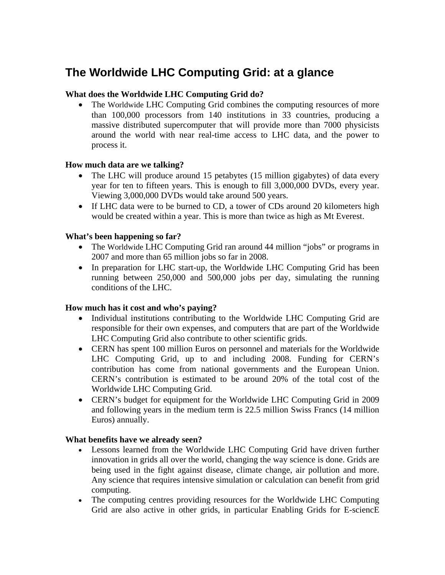# **The Worldwide LHC Computing Grid: at a glance**

## **What does the Worldwide LHC Computing Grid do?**

• The Worldwide LHC Computing Grid combines the computing resources of more than 100,000 processors from 140 institutions in 33 countries, producing a massive distributed supercomputer that will provide more than 7000 physicists around the world with near real-time access to LHC data, and the power to process it.

#### **How much data are we talking?**

- The LHC will produce around 15 petabytes (15 million gigabytes) of data every year for ten to fifteen years. This is enough to fill 3,000,000 DVDs, every year. Viewing 3,000,000 DVDs would take around 500 years.
- If LHC data were to be burned to CD, a tower of CDs around 20 kilometers high would be created within a year. This is more than twice as high as Mt Everest.

## **What's been happening so far?**

- The Worldwide LHC Computing Grid ran around 44 million "jobs" or programs in 2007 and more than 65 million jobs so far in 2008.
- In preparation for LHC start-up, the Worldwide LHC Computing Grid has been running between 250,000 and 500,000 jobs per day, simulating the running conditions of the LHC.

#### **How much has it cost and who's paying?**

- Individual institutions contributing to the Worldwide LHC Computing Grid are responsible for their own expenses, and computers that are part of the Worldwide LHC Computing Grid also contribute to other scientific grids.
- CERN has spent 100 million Euros on personnel and materials for the Worldwide LHC Computing Grid, up to and including 2008. Funding for CERN's contribution has come from national governments and the European Union. CERN's contribution is estimated to be around 20% of the total cost of the Worldwide LHC Computing Grid.
- CERN's budget for equipment for the Worldwide LHC Computing Grid in 2009 and following years in the medium term is 22.5 million Swiss Francs (14 million Euros) annually.

#### **What benefits have we already seen?**

- Lessons learned from the Worldwide LHC Computing Grid have driven further innovation in grids all over the world, changing the way science is done. Grids are being used in the fight against disease, climate change, air pollution and more. Any science that requires intensive simulation or calculation can benefit from grid computing.
- The computing centres providing resources for the Worldwide LHC Computing Grid are also active in other grids, in particular Enabling Grids for E-sciencE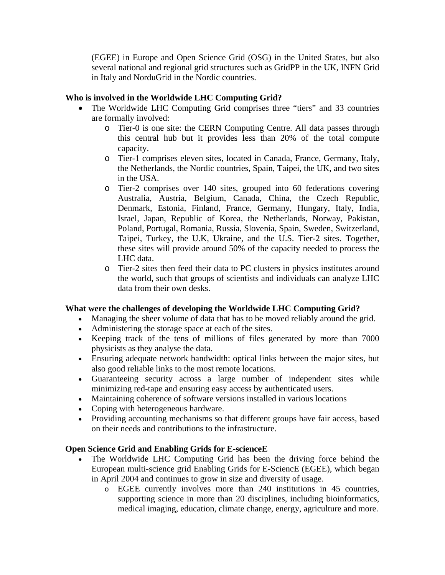(EGEE) in Europe and Open Science Grid (OSG) in the United States, but also several national and regional grid structures such as GridPP in the UK, INFN Grid in Italy and NorduGrid in the Nordic countries.

# **Who is involved in the Worldwide LHC Computing Grid?**

- The Worldwide LHC Computing Grid comprises three "tiers" and 33 countries are formally involved:
	- o Tier-0 is one site: the CERN Computing Centre. All data passes through this central hub but it provides less than 20% of the total compute capacity.
	- o Tier-1 comprises eleven sites, located in Canada, France, Germany, Italy, the Netherlands, the Nordic countries, Spain, Taipei, the UK, and two sites in the USA.
	- o Tier-2 comprises over 140 sites, grouped into 60 federations covering Australia, Austria, Belgium, Canada, China, the Czech Republic, Denmark, Estonia, Finland, France, Germany, Hungary, Italy, India, Israel, Japan, Republic of Korea, the Netherlands, Norway, Pakistan, Poland, Portugal, Romania, Russia, Slovenia, Spain, Sweden, Switzerland, Taipei, Turkey, the U.K, Ukraine, and the U.S. Tier-2 sites. Together, these sites will provide around 50% of the capacity needed to process the LHC data.
	- o Tier-2 sites then feed their data to PC clusters in physics institutes around the world, such that groups of scientists and individuals can analyze LHC data from their own desks.

# **What were the challenges of developing the Worldwide LHC Computing Grid?**

- Managing the sheer volume of data that has to be moved reliably around the grid.
- Administering the storage space at each of the sites.
- Keeping track of the tens of millions of files generated by more than 7000 physicists as they analyse the data.
- Ensuring adequate network bandwidth: optical links between the major sites, but also good reliable links to the most remote locations.
- Guaranteeing security across a large number of independent sites while minimizing red-tape and ensuring easy access by authenticated users.
- Maintaining coherence of software versions installed in various locations
- Coping with heterogeneous hardware.
- Providing accounting mechanisms so that different groups have fair access, based on their needs and contributions to the infrastructure.

# **Open Science Grid and Enabling Grids for E-scienceE**

- The Worldwide LHC Computing Grid has been the driving force behind the European multi-science grid Enabling Grids for E-SciencE (EGEE), which began in April 2004 and continues to grow in size and diversity of usage.
	- o EGEE currently involves more than 240 institutions in 45 countries, supporting science in more than 20 disciplines, including bioinformatics, medical imaging, education, climate change, energy, agriculture and more.